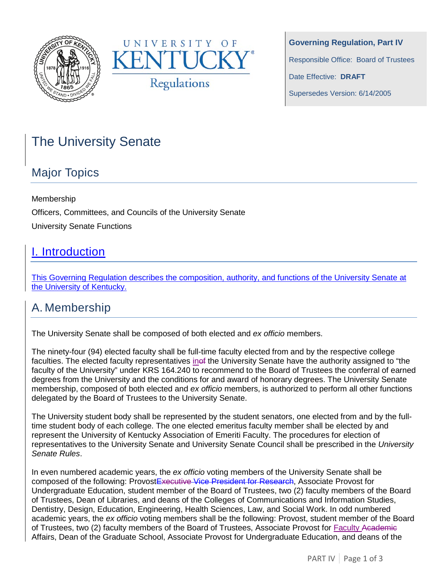



**Governing Regulation, Part IV** Responsible Office: Board of Trustees Date Effective: **DRAFT** Supersedes Version: 6/14/2005

# The University Senate

## Major Topics

Membership Officers, Committees, and Councils of the University Senate

University Senate Functions

## I. Introduction

This Governing Regulation describes the composition, authority, and functions of the University Senate at the University of Kentucky.

### A. Membership

The University Senate shall be composed of both elected and *ex officio* members.

The ninety-four (94) elected faculty shall be full-time faculty elected from and by the respective college faculties. The elected faculty representatives inef the University Senate have the authority assigned to "the faculty of the University" under KRS 164.240 to recommend to the Board of Trustees the conferral of earned degrees from the University and the conditions for and award of honorary degrees. The University Senate membership, composed of both elected and *ex officio* members, is authorized to perform all other functions delegated by the Board of Trustees to the University Senate.

The University student body shall be represented by the student senators, one elected from and by the fulltime student body of each college. The one elected emeritus faculty member shall be elected by and represent the University of Kentucky Association of Emeriti Faculty. The procedures for election of representatives to the University Senate and University Senate Council shall be prescribed in the *University Senate Rules*.

In even numbered academic years, the *ex officio* voting members of the University Senate shall be composed of the following: ProvostExecutive Vice President for Research, Associate Provost for Undergraduate Education, student member of the Board of Trustees, two (2) faculty members of the Board of Trustees, Dean of Libraries, and deans of the Colleges of Communications and Information Studies, Dentistry, Design, Education, Engineering, Health Sciences, Law, and Social Work. In odd numbered academic years, the *ex officio* voting members shall be the following: Provost, student member of the Board of Trustees, two (2) faculty members of the Board of Trustees, Associate Provost for Faculty Academic Affairs, Dean of the Graduate School, Associate Provost for Undergraduate Education, and deans of the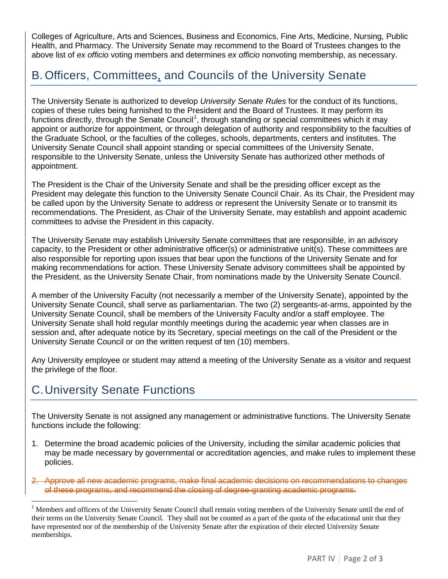Colleges of Agriculture, Arts and Sciences, Business and Economics, Fine Arts, Medicine, Nursing, Public Health, and Pharmacy. The University Senate may recommend to the Board of Trustees changes to the above list of *ex officio* voting members and determines *ex officio* nonvoting membership, as necessary.

### B. Officers, Committees, and Councils of the University Senate

The University Senate is authorized to develop *University Senate Rules* for the conduct of its functions, copies of these rules being furnished to the President and the Board of Trustees. It may perform its functions directly, through the Senate Council<sup>[1](#page-1-0)</sup>, through standing or special committees which it may appoint or authorize for appointment, or through delegation of authority and responsibility to the faculties of the Graduate School, or the faculties of the colleges, schools, departments, centers and institutes. The University Senate Council shall appoint standing or special committees of the University Senate, responsible to the University Senate, unless the University Senate has authorized other methods of appointment.

The President is the Chair of the University Senate and shall be the presiding officer except as the President may delegate this function to the University Senate Council Chair. As its Chair, the President may be called upon by the University Senate to address or represent the University Senate or to transmit its recommendations. The President, as Chair of the University Senate, may establish and appoint academic committees to advise the President in this capacity.

The University Senate may establish University Senate committees that are responsible, in an advisory capacity, to the President or other administrative officer(s) or administrative unit(s). These committees are also responsible for reporting upon issues that bear upon the functions of the University Senate and for making recommendations for action. These University Senate advisory committees shall be appointed by the President, as the University Senate Chair, from nominations made by the University Senate Council.

A member of the University Faculty (not necessarily a member of the University Senate), appointed by the University Senate Council, shall serve as parliamentarian. The two (2) sergeants-at-arms, appointed by the University Senate Council, shall be members of the University Faculty and/or a staff employee. The University Senate shall hold regular monthly meetings during the academic year when classes are in session and, after adequate notice by its Secretary, special meetings on the call of the President or the University Senate Council or on the written request of ten (10) members.

Any University employee or student may attend a meeting of the University Senate as a visitor and request the privilege of the floor.

## C.University Senate Functions

The University Senate is not assigned any management or administrative functions. The University Senate functions include the following:

1. Determine the broad academic policies of the University, including the similar academic policies that may be made necessary by governmental or accreditation agencies, and make rules to implement these policies.

2. Approve all new academic programs, make final academic decisions on recommendations to changes of these programs, and recommend the closing of degree-granting academic programs.

<span id="page-1-0"></span><sup>&</sup>lt;sup>1</sup> Members and officers of the University Senate Council shall remain voting members of the University Senate until the end of their terms on the University Senate Council. They shall not be counted as a part of the quota of the educational unit that they have represented nor of the membership of the University Senate after the expiration of their elected University Senate memberships.